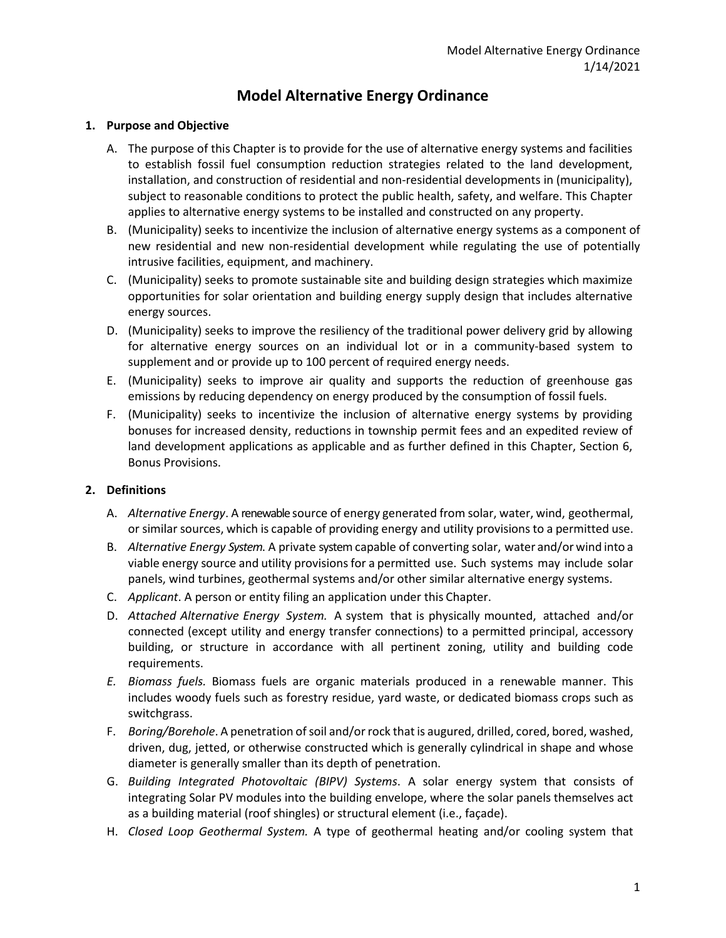# **Model Alternative Energy Ordinance**

### **1. Purpose and Objective**

- A. The purpose of this Chapter is to provide for the use of alternative energy systems and facilities to establish fossil fuel consumption reduction strategies related to the land development, installation, and construction of residential and non-residential developments in (municipality), subject to reasonable conditions to protect the public health, safety, and welfare. This Chapter applies to alternative energy systems to be installed and constructed on any property.
- B. (Municipality) seeks to incentivize the inclusion of alternative energy systems as a component of new residential and new non-residential development while regulating the use of potentially intrusive facilities, equipment, and machinery.
- C. (Municipality) seeks to promote sustainable site and building design strategies which maximize opportunities for solar orientation and building energy supply design that includes alternative energy sources.
- D. (Municipality) seeks to improve the resiliency of the traditional power delivery grid by allowing for alternative energy sources on an individual lot or in a community-based system to supplement and or provide up to 100 percent of required energy needs.
- E. (Municipality) seeks to improve air quality and supports the reduction of greenhouse gas emissions by reducing dependency on energy produced by the consumption of fossil fuels.
- F. (Municipality) seeks to incentivize the inclusion of alternative energy systems by providing bonuses for increased density, reductions in township permit fees and an expedited review of land development applications as applicable and as further defined in this Chapter, Section 6, Bonus Provisions.

#### **2. Definitions**

- A. *Alternative Energy*. A renewable source of energy generated from solar, water, wind, geothermal, or similar sources, which is capable of providing energy and utility provisions to a permitted use.
- B. *Alternative Energy System*. A private systemcapable of converting solar, water and/or wind into a viable energy source and utility provisions for a permitted use. Such systems may include solar panels, wind turbines, geothermal systems and/or other similar alternative energy systems.
- C. *Applicant*. A person or entity filing an application under this Chapter.
- D. *Attached Alternative Energy System.* A system that is physically mounted, attached and/or connected (except utility and energy transfer connections) to a permitted principal, accessory building, or structure in accordance with all pertinent zoning, utility and building code requirements.
- *E. Biomass fuels.* Biomass fuels are organic materials produced in a renewable manner. This includes woody fuels such as forestry residue, yard waste, or dedicated biomass crops such as switchgrass.
- F. *Boring/Borehole*. A penetration of soil and/or rock that is augured, drilled, cored, bored, washed, driven, dug, jetted, or otherwise constructed which is generally cylindrical in shape and whose diameter is generally smaller than its depth of penetration.
- G. *Building Integrated Photovoltaic (BIPV) Systems*. A solar energy system that consists of integrating Solar PV modules into the building envelope, where the solar panels themselves act as a building material (roof shingles) or structural element (i.e., façade).
- H. *Closed Loop Geothermal System.* A type of geothermal heating and/or cooling system that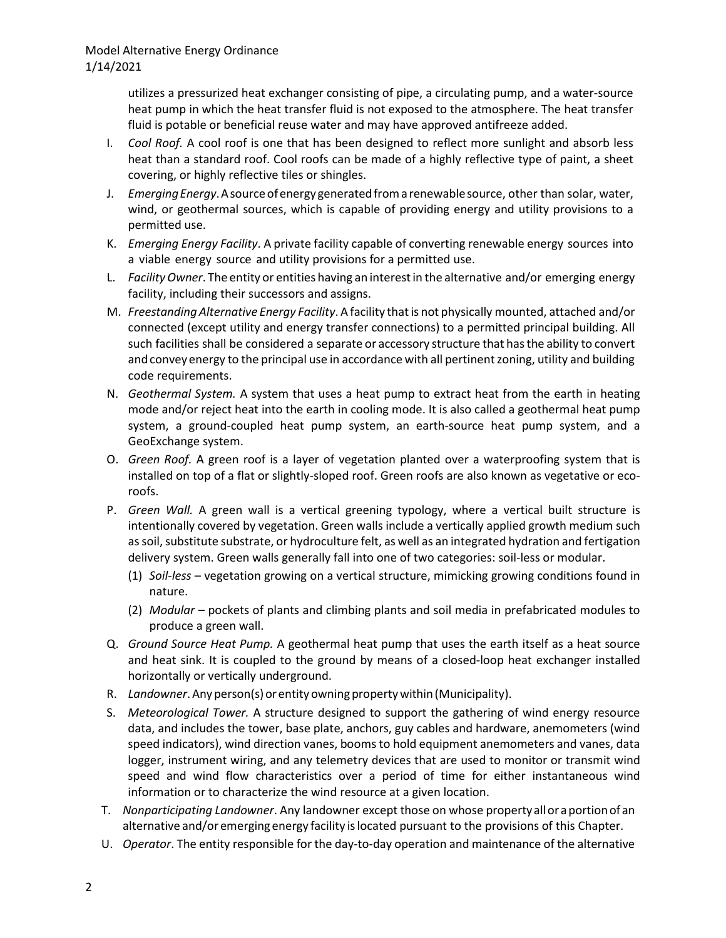utilizes a pressurized heat exchanger consisting of pipe, a circulating pump, and a water-source heat pump in which the heat transfer fluid is not exposed to the atmosphere. The heat transfer fluid is potable or beneficial reuse water and may have approved antifreeze added.

- I. *Cool Roof.* A cool roof is one that has been designed to reflect more sunlight and absorb less heat than a standard roof. Cool roofs can be made of a highly reflective type of paint, a sheet covering, or highly reflective tiles or shingles.
- J. *EmergingEnergy*.Asourceofenergy generatedfromarenewablesource, other than solar, water, wind, or geothermal sources, which is capable of providing energy and utility provisions to a permitted use.
- K. *Emerging Energy Facility*. A private facility capable of converting renewable energy sources into a viable energy source and utility provisions for a permitted use.
- L. *FacilityOwner*. The entity or entities having an interestin the alternative and/or emerging energy facility, including their successors and assigns.
- M. *Freestanding Alternative Energy Facility*. A facility thatis not physically mounted, attached and/or connected (except utility and energy transfer connections) to a permitted principal building. All such facilities shall be considered a separate or accessory structure that hasthe ability to convert and convey energy to the principal use in accordance with all pertinent zoning, utility and building code requirements.
- N. *Geothermal System.* A system that uses a heat pump to extract heat from the earth in heating mode and/or reject heat into the earth in cooling mode. It is also called a geothermal heat pump system, a ground-coupled heat pump system, an earth-source heat pump system, and a GeoExchange system.
- O. *Green Roof.* A green roof is a layer of vegetation planted over a waterproofing system that is installed on top of a flat or slightly-sloped roof. Green roofs are also known as vegetative or ecoroofs.
- P. *Green Wall.* A green wall is a vertical greening typology, where a vertical built structure is intentionally covered by vegetation. Green walls include a vertically applied growth medium such as soil, substitute substrate, or hydroculture felt, as well as an integrated hydration and fertigation delivery system. Green walls generally fall into one of two categories: soil-less or modular.
	- (1) *Soil-less* vegetation growing on a vertical structure, mimicking growing conditions found in nature.
	- (2) *Modular*  pockets of plants and climbing plants and soil media in prefabricated modules to produce a green wall.
- Q. *Ground Source Heat Pump.* A geothermal heat pump that uses the earth itself as a heat source and heat sink. It is coupled to the ground by means of a closed-loop heat exchanger installed horizontally or vertically underground.
- R. *Landowner*.Anyperson(s)orentityowningpropertywithin(Municipality).
- S. *Meteorological Tower.* A structure designed to support the gathering of wind energy resource data, and includes the tower, base plate, anchors, guy cables and hardware, anemometers (wind speed indicators), wind direction vanes, booms to hold equipment anemometers and vanes, data logger, instrument wiring, and any telemetry devices that are used to monitor or transmit wind speed and wind flow characteristics over a period of time for either instantaneous wind information or to characterize the wind resource at a given location.
- T. *Nonparticipating Landowner*. Any landowner except those on whose propertyalloraportionofan alternative and/or emerging energy facility islocated pursuant to the provisions of this Chapter.
- U. *Operator*. The entity responsible for the day-to-day operation and maintenance of the alternative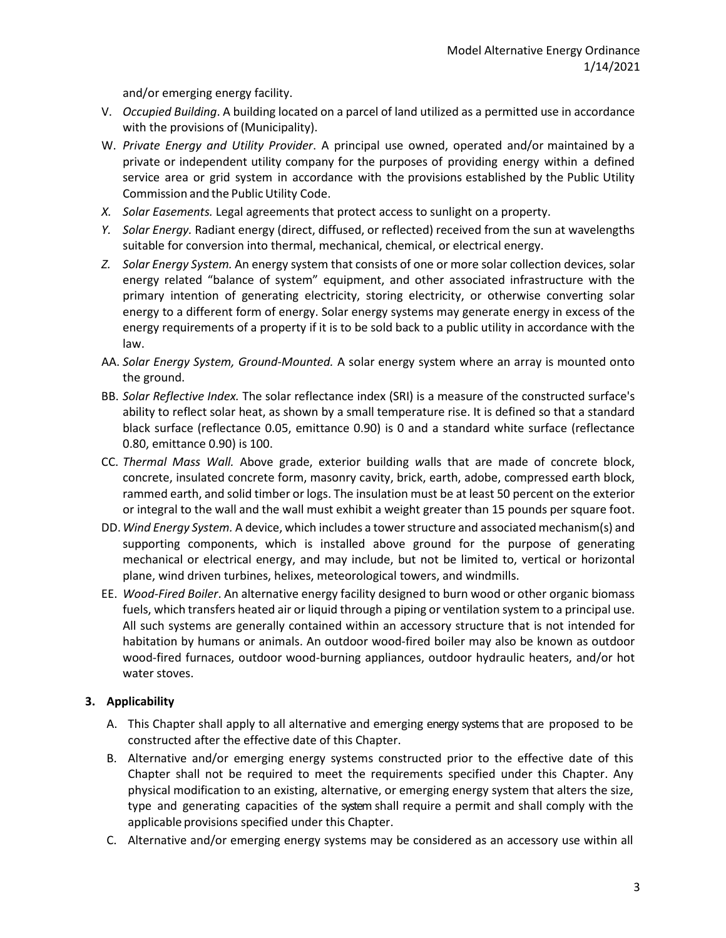and/or emerging energy facility.

- V. *Occupied Building*. A building located on a parcel of land utilized as a permitted use in accordance with the provisions of (Municipality).
- W. *Private Energy and Utility Provider*. A principal use owned, operated and/or maintained by a private or independent utility company for the purposes of providing energy within a defined service area or grid system in accordance with the provisions established by the Public Utility Commission and the Public Utility Code.
- *X. Solar Easements.* Legal agreements that protect access to sunlight on a property.
- *Y. Solar Energy.* Radiant energy (direct, diffused, or reflected) received from the sun at wavelengths suitable for conversion into thermal, mechanical, chemical, or electrical energy.
- *Z. Solar Energy System.* An energy system that consists of one or more solar collection devices, solar energy related "balance of system" equipment, and other associated infrastructure with the primary intention of generating electricity, storing electricity, or otherwise converting solar energy to a different form of energy. Solar energy systems may generate energy in excess of the energy requirements of a property if it is to be sold back to a public utility in accordance with the law.
- AA. *Solar Energy System, Ground-Mounted.* A solar energy system where an array is mounted onto the ground.
- BB. *Solar Reflective Index.* The solar reflectance index (SRI) is a measure of the constructed surface's ability to reflect solar heat, as shown by a small temperature rise. It is defined so that a standard black surface (reflectance 0.05, emittance 0.90) is 0 and a standard white surface (reflectance 0.80, emittance 0.90) is 100.
- CC. *Thermal Mass Wall.* Above grade, exterior building *w*alls that are made of concrete block, concrete, insulated concrete form, masonry cavity, brick, earth, adobe, compressed earth block, rammed earth, and solid timber or logs. The insulation must be at least 50 percent on the exterior or integral to the wall and the wall must exhibit a weight greater than 15 pounds per square foot.
- DD.*Wind Energy System.* A device, which includes a tower structure and associated mechanism(s) and supporting components, which is installed above ground for the purpose of generating mechanical or electrical energy, and may include, but not be limited to, vertical or horizontal plane, wind driven turbines, helixes, meteorological towers, and windmills.
- EE. *Wood-Fired Boiler*. An alternative energy facility designed to burn wood or other organic biomass fuels, which transfers heated air or liquid through a piping or ventilation system to a principal use. All such systems are generally contained within an accessory structure that is not intended for habitation by humans or animals. An outdoor wood-fired boiler may also be known as outdoor wood-fired furnaces, outdoor wood-burning appliances, outdoor hydraulic heaters, and/or hot water stoves.

## **3. Applicability**

- A. This Chapter shall apply to all alternative and emerging energy systems that are proposed to be constructed after the effective date of this Chapter.
- B. Alternative and/or emerging energy systems constructed prior to the effective date of this Chapter shall not be required to meet the requirements specified under this Chapter. Any physical modification to an existing, alternative, or emerging energy system that alters the size, type and generating capacities of the system shall require a permit and shall comply with the applicable provisions specified under this Chapter.
- C. Alternative and/or emerging energy systems may be considered as an accessory use within all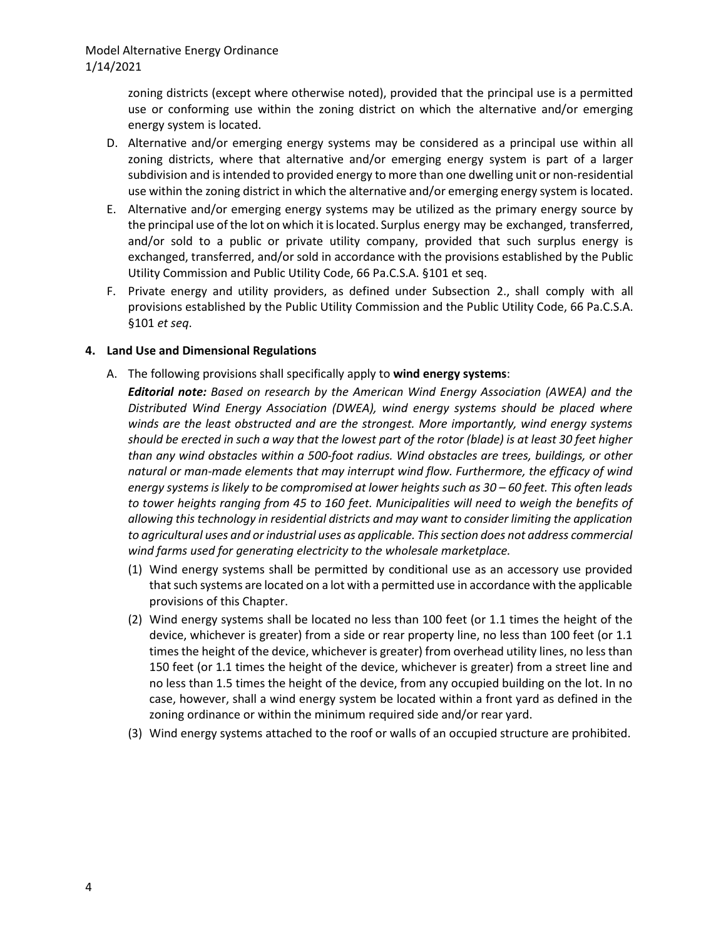zoning districts (except where otherwise noted), provided that the principal use is a permitted use or conforming use within the zoning district on which the alternative and/or emerging energy system is located.

- D. Alternative and/or emerging energy systems may be considered as a principal use within all zoning districts, where that alternative and/or emerging energy system is part of a larger subdivision and is intended to provided energy to more than one dwelling unit or non-residential use within the zoning district in which the alternative and/or emerging energy system is located.
- E. Alternative and/or emerging energy systems may be utilized as the primary energy source by the principal use of the lot on which it is located. Surplus energy may be exchanged, transferred, and/or sold to a public or private utility company, provided that such surplus energy is exchanged, transferred, and/or sold in accordance with the provisions established by the Public Utility Commission and Public Utility Code, 66 Pa.C.S.A. §101 et seq.
- F. Private energy and utility providers, as defined under Subsection 2., shall comply with all provisions established by the Public Utility Commission and the Public Utility Code, 66 Pa.C.S.A. §101 *et seq*.

### **4. Land Use and Dimensional Regulations**

- A. The following provisions shall specifically apply to **wind energy systems**:
	- *Editorial note: Based on research by the American Wind Energy Association (AWEA) and the Distributed Wind Energy Association (DWEA), wind energy systems should be placed where winds are the least obstructed and are the strongest. More importantly, wind energy systems should be erected in such a way that the lowest part of the rotor (blade) is at least 30 feet higher than any wind obstacles within a 500-foot radius. Wind obstacles are trees, buildings, or other natural or man-made elements that may interrupt wind flow. Furthermore, the efficacy of wind energy systems is likely to be compromised at lower heights such as 30 – 60 feet. This often leads to tower heights ranging from 45 to 160 feet. Municipalities will need to weigh the benefits of allowing this technology in residential districts and may want to consider limiting the application to agricultural uses and or industrial uses as applicable. This section does not address commercial wind farms used for generating electricity to the wholesale marketplace.*
	- (1) Wind energy systems shall be permitted by conditional use as an accessory use provided that such systems are located on a lot with a permitted use in accordance with the applicable provisions of this Chapter.
	- (2) Wind energy systems shall be located no less than 100 feet (or 1.1 times the height of the device, whichever is greater) from a side or rear property line, no less than 100 feet (or 1.1 times the height of the device, whichever is greater) from overhead utility lines, no less than 150 feet (or 1.1 times the height of the device, whichever is greater) from a street line and no less than 1.5 times the height of the device, from any occupied building on the lot. In no case, however, shall a wind energy system be located within a front yard as defined in the zoning ordinance or within the minimum required side and/or rear yard.
	- (3) Wind energy systems attached to the roof or walls of an occupied structure are prohibited.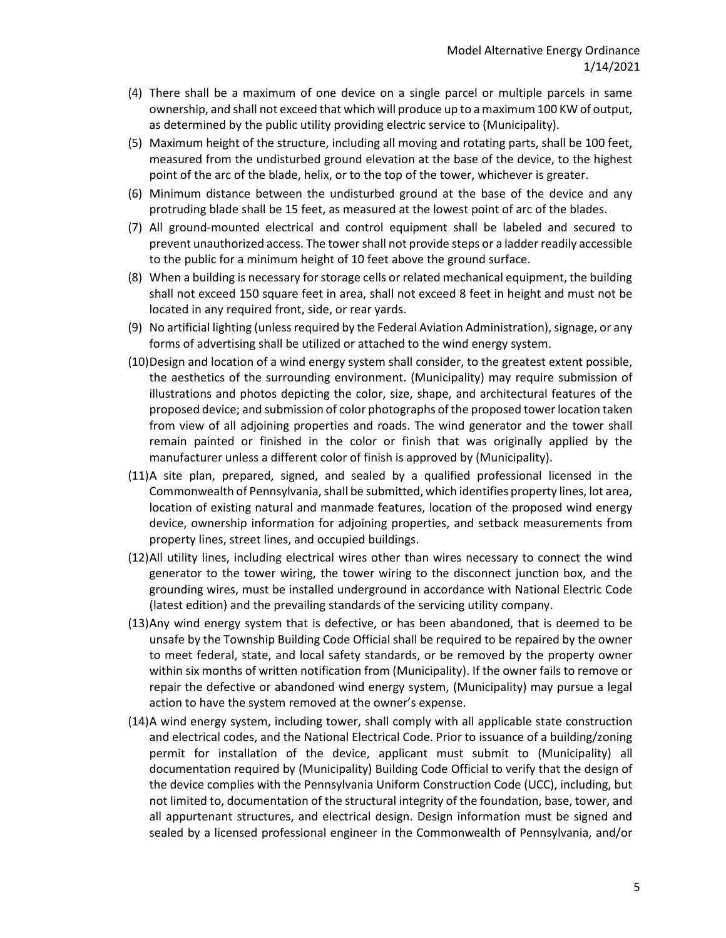- (4) There shall be a maximum of one device on a single parcel or multiple parcels in same ownership, and shall not exceed that which will produce up to a maximum 100 KW of output, as determined by the public utility providing electric service to (Municipality).
- (5) Maximum height of the structure, including all moving and rotating parts, shall be 100 feet, measured from the undisturbed ground elevation at the base of the device, to the highest point of the arc of the blade, helix, or to the top of the tower, whichever is greater.
- (6) Minimum distance between the undisturbed ground at the base of the device and any protruding blade shall be 15 feet, as measured at the lowest point of arc of the blades.
- (7) All ground-mounted electrical and control equipment shall be labeled and secured to prevent unauthorized access. The tower shall not provide steps or a ladder readily accessible to the public for a minimum height of 10 feet above the ground surface.
- (8) When a building is necessary for storage cells or related mechanical equipment, the building shall not exceed 150 square feet in area, shall not exceed 8 feet in height and must not be located in any required front, side, or rear yards.
- (9) No artificial lighting (unless required by the Federal Aviation Administration), signage, or any forms of advertising shall be utilized or attached to the wind energy system.
- (10)Design and location of a wind energy system shall consider, to the greatest extent possible, the aesthetics of the surrounding environment. (Municipality) may require submission of illustrations and photos depicting the color, size, shape, and architectural features of the proposed device; and submission of color photographs of the proposed tower location taken from view of all adjoining properties and roads. The wind generator and the tower shall remain painted or finished in the color or finish that was originally applied by the manufacturer unless a different color of finish is approved by (Municipality).
- (11)A site plan, prepared, signed, and sealed by a qualified professional licensed in the Commonwealth of Pennsylvania, shall be submitted, which identifies property lines, lot area, location of existing natural and manmade features, location of the proposed wind energy device, ownership information for adjoining properties, and setback measurements from property lines, street lines, and occupied buildings.
- (12)All utility lines, including electrical wires other than wires necessary to connect the wind generator to the tower wiring, the tower wiring to the disconnect junction box, and the grounding wires, must be installed underground in accordance with National Electric Code (latest edition) and the prevailing standards of the servicing utility company.
- (13)Any wind energy system that is defective, or has been abandoned, that is deemed to be unsafe by the Township Building Code Official shall be required to be repaired by the owner to meet federal, state, and local safety standards, or be removed by the property owner within six months of written notification from (Municipality). If the owner fails to remove or repair the defective or abandoned wind energy system, (Municipality) may pursue a legal action to have the system removed at the owner's expense.
- (14)A wind energy system, including tower, shall comply with all applicable state construction and electrical codes, and the National Electrical Code. Prior to issuance of a building/zoning permit for installation of the device, applicant must submit to (Municipality) all documentation required by (Municipality) Building Code Official to verify that the design of the device complies with the Pennsylvania Uniform Construction Code (UCC), including, but not limited to, documentation of the structural integrity of the foundation, base, tower, and all appurtenant structures, and electrical design. Design information must be signed and sealed by a licensed professional engineer in the Commonwealth of Pennsylvania, and/or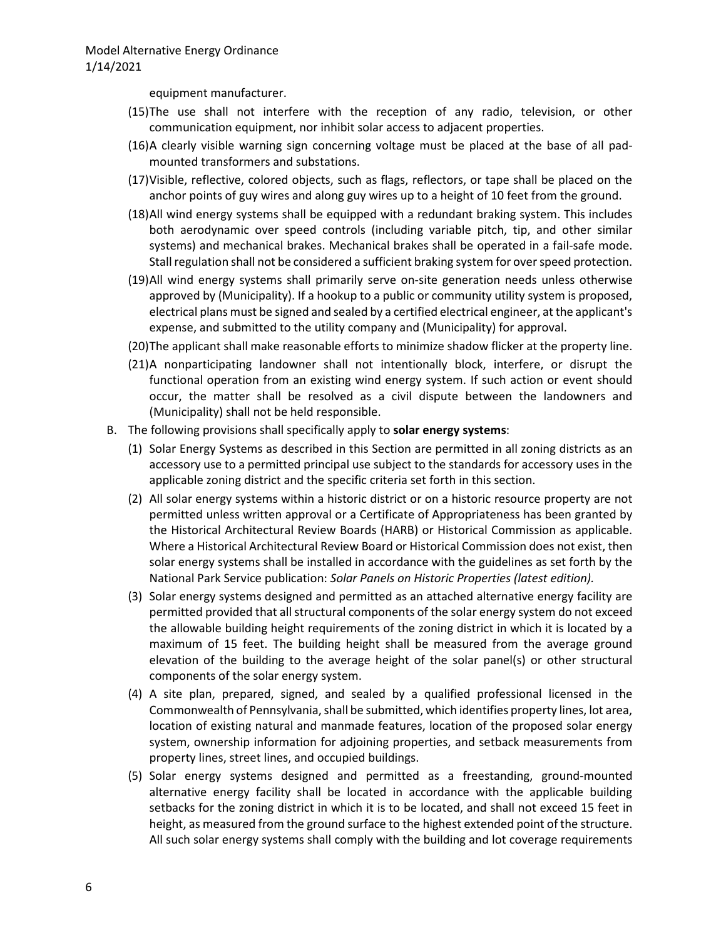equipment manufacturer.

- (15)The use shall not interfere with the reception of any radio, television, or other communication equipment, nor inhibit solar access to adjacent properties.
- (16)A clearly visible warning sign concerning voltage must be placed at the base of all padmounted transformers and substations.
- (17)Visible, reflective, colored objects, such as flags, reflectors, or tape shall be placed on the anchor points of guy wires and along guy wires up to a height of 10 feet from the ground.
- (18)All wind energy systems shall be equipped with a redundant braking system. This includes both aerodynamic over speed controls (including variable pitch, tip, and other similar systems) and mechanical brakes. Mechanical brakes shall be operated in a fail-safe mode. Stall regulation shall not be considered a sufficient braking system for over speed protection.
- (19)All wind energy systems shall primarily serve on-site generation needs unless otherwise approved by (Municipality). If a hookup to a public or community utility system is proposed, electrical plans must be signed and sealed by a certified electrical engineer, at the applicant's expense, and submitted to the utility company and (Municipality) for approval.
- (20)The applicant shall make reasonable efforts to minimize shadow flicker at the property line.
- (21)A nonparticipating landowner shall not intentionally block, interfere, or disrupt the functional operation from an existing wind energy system. If such action or event should occur, the matter shall be resolved as a civil dispute between the landowners and (Municipality) shall not be held responsible.
- B. The following provisions shall specifically apply to **solar energy systems**:
	- (1) Solar Energy Systems as described in this Section are permitted in all zoning districts as an accessory use to a permitted principal use subject to the standards for accessory uses in the applicable zoning district and the specific criteria set forth in this section.
	- (2) All solar energy systems within a historic district or on a historic resource property are not permitted unless written approval or a Certificate of Appropriateness has been granted by the Historical Architectural Review Boards (HARB) or Historical Commission as applicable. Where a Historical Architectural Review Board or Historical Commission does not exist, then solar energy systems shall be installed in accordance with the guidelines as set forth by the National Park Service publication: *Solar Panels on Historic Properties (latest edition).*
	- (3) Solar energy systems designed and permitted as an attached alternative energy facility are permitted provided that all structural components of the solar energy system do not exceed the allowable building height requirements of the zoning district in which it is located by a maximum of 15 feet. The building height shall be measured from the average ground elevation of the building to the average height of the solar panel(s) or other structural components of the solar energy system.
	- (4) A site plan, prepared, signed, and sealed by a qualified professional licensed in the Commonwealth of Pennsylvania, shall be submitted, which identifies property lines, lot area, location of existing natural and manmade features, location of the proposed solar energy system, ownership information for adjoining properties, and setback measurements from property lines, street lines, and occupied buildings.
	- (5) Solar energy systems designed and permitted as a freestanding, ground-mounted alternative energy facility shall be located in accordance with the applicable building setbacks for the zoning district in which it is to be located, and shall not exceed 15 feet in height, as measured from the ground surface to the highest extended point of the structure. All such solar energy systems shall comply with the building and lot coverage requirements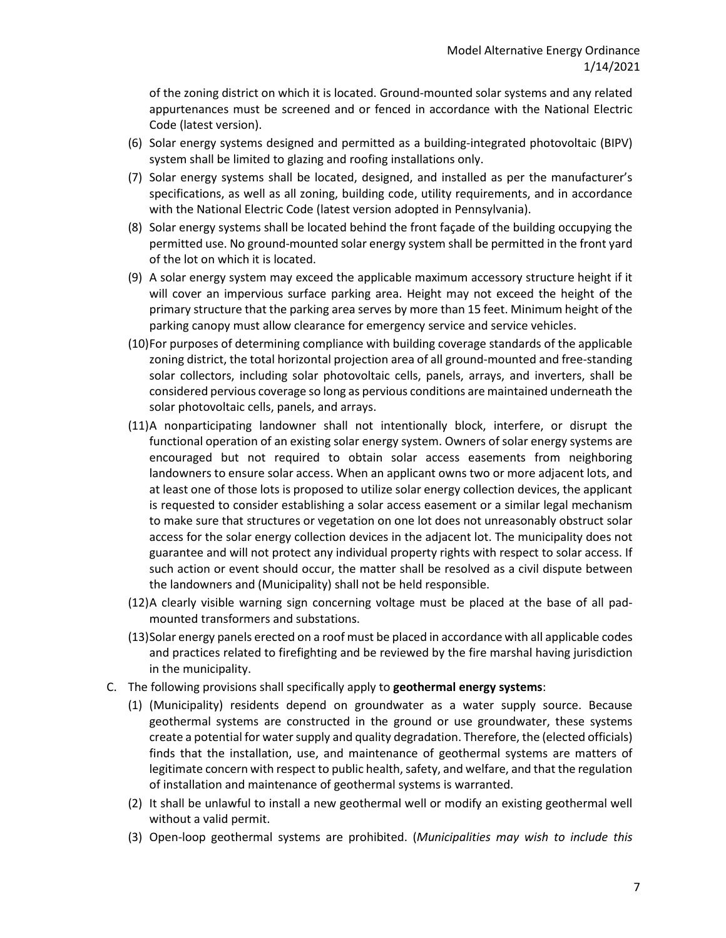of the zoning district on which it is located. Ground-mounted solar systems and any related appurtenances must be screened and or fenced in accordance with the National Electric Code (latest version).

- (6) Solar energy systems designed and permitted as a building-integrated photovoltaic (BIPV) system shall be limited to glazing and roofing installations only.
- (7) Solar energy systems shall be located, designed, and installed as per the manufacturer's specifications, as well as all zoning, building code, utility requirements, and in accordance with the National Electric Code (latest version adopted in Pennsylvania).
- (8) Solar energy systems shall be located behind the front façade of the building occupying the permitted use. No ground-mounted solar energy system shall be permitted in the front yard of the lot on which it is located.
- (9) A solar energy system may exceed the applicable maximum accessory structure height if it will cover an impervious surface parking area. Height may not exceed the height of the primary structure that the parking area serves by more than 15 feet. Minimum height of the parking canopy must allow clearance for emergency service and service vehicles.
- (10)For purposes of determining compliance with building coverage standards of the applicable zoning district, the total horizontal projection area of all ground-mounted and free-standing solar collectors, including solar photovoltaic cells, panels, arrays, and inverters, shall be considered pervious coverage so long as pervious conditions are maintained underneath the solar photovoltaic cells, panels, and arrays.
- (11)A nonparticipating landowner shall not intentionally block, interfere, or disrupt the functional operation of an existing solar energy system. Owners of solar energy systems are encouraged but not required to obtain solar access easements from neighboring landowners to ensure solar access. When an applicant owns two or more adjacent lots, and at least one of those lots is proposed to utilize solar energy collection devices, the applicant is requested to consider establishing a solar access easement or a similar legal mechanism to make sure that structures or vegetation on one lot does not unreasonably obstruct solar access for the solar energy collection devices in the adjacent lot. The municipality does not guarantee and will not protect any individual property rights with respect to solar access. If such action or event should occur, the matter shall be resolved as a civil dispute between the landowners and (Municipality) shall not be held responsible.
- (12)A clearly visible warning sign concerning voltage must be placed at the base of all padmounted transformers and substations.
- (13)Solar energy panels erected on a roof must be placed in accordance with all applicable codes and practices related to firefighting and be reviewed by the fire marshal having jurisdiction in the municipality.
- C. The following provisions shall specifically apply to **geothermal energy systems**:
	- (1) (Municipality) residents depend on groundwater as a water supply source. Because geothermal systems are constructed in the ground or use groundwater, these systems create a potential for water supply and quality degradation. Therefore, the (elected officials) finds that the installation, use, and maintenance of geothermal systems are matters of legitimate concern with respect to public health, safety, and welfare, and that the regulation of installation and maintenance of geothermal systems is warranted.
	- (2) It shall be unlawful to install a new geothermal well or modify an existing geothermal well without a valid permit.
	- (3) Open-loop geothermal systems are prohibited. (*Municipalities may wish to include this*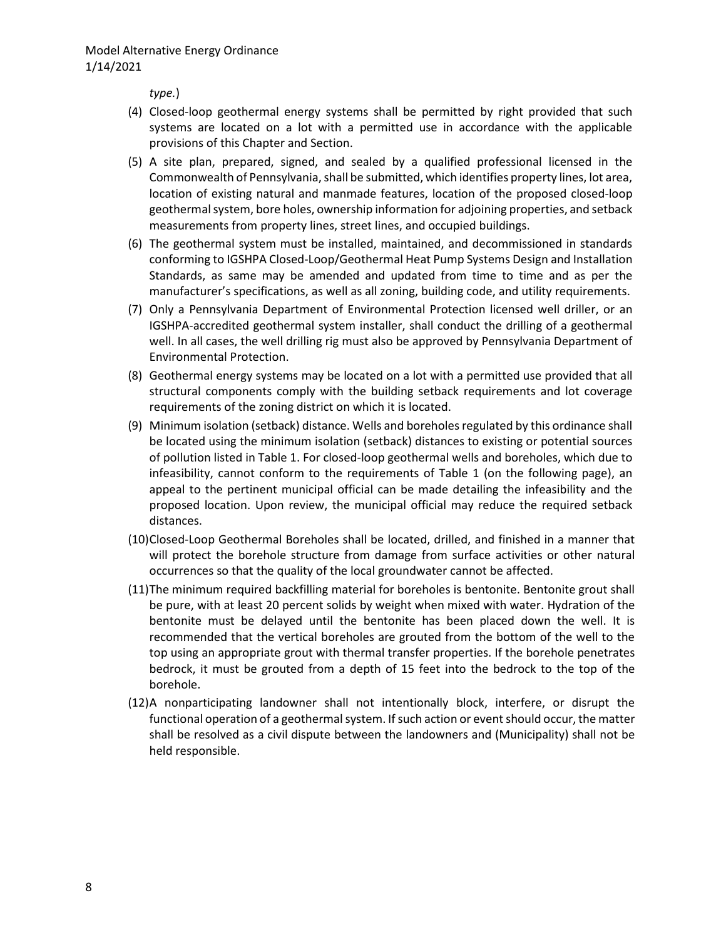*type.*)

- (4) Closed-loop geothermal energy systems shall be permitted by right provided that such systems are located on a lot with a permitted use in accordance with the applicable provisions of this Chapter and Section.
- (5) A site plan, prepared, signed, and sealed by a qualified professional licensed in the Commonwealth of Pennsylvania, shall be submitted, which identifies property lines, lot area, location of existing natural and manmade features, location of the proposed closed-loop geothermal system, bore holes, ownership information for adjoining properties, and setback measurements from property lines, street lines, and occupied buildings.
- (6) The geothermal system must be installed, maintained, and decommissioned in standards conforming to IGSHPA Closed-Loop/Geothermal Heat Pump Systems Design and Installation Standards, as same may be amended and updated from time to time and as per the manufacturer's specifications, as well as all zoning, building code, and utility requirements.
- (7) Only a Pennsylvania Department of Environmental Protection licensed well driller, or an IGSHPA-accredited geothermal system installer, shall conduct the drilling of a geothermal well. In all cases, the well drilling rig must also be approved by Pennsylvania Department of Environmental Protection.
- (8) Geothermal energy systems may be located on a lot with a permitted use provided that all structural components comply with the building setback requirements and lot coverage requirements of the zoning district on which it is located.
- (9) Minimum isolation (setback) distance. Wells and boreholes regulated by this ordinance shall be located using the minimum isolation (setback) distances to existing or potential sources of pollution listed in Table 1. For closed-loop geothermal wells and boreholes, which due to infeasibility, cannot conform to the requirements of Table 1 (on the following page), an appeal to the pertinent municipal official can be made detailing the infeasibility and the proposed location. Upon review, the municipal official may reduce the required setback distances.
- (10)Closed-Loop Geothermal Boreholes shall be located, drilled, and finished in a manner that will protect the borehole structure from damage from surface activities or other natural occurrences so that the quality of the local groundwater cannot be affected.
- (11)The minimum required backfilling material for boreholes is bentonite. Bentonite grout shall be pure, with at least 20 percent solids by weight when mixed with water. Hydration of the bentonite must be delayed until the bentonite has been placed down the well. It is recommended that the vertical boreholes are grouted from the bottom of the well to the top using an appropriate grout with thermal transfer properties. If the borehole penetrates bedrock, it must be grouted from a depth of 15 feet into the bedrock to the top of the borehole.
- (12)A nonparticipating landowner shall not intentionally block, interfere, or disrupt the functional operation of a geothermal system. If such action or event should occur, the matter shall be resolved as a civil dispute between the landowners and (Municipality) shall not be held responsible.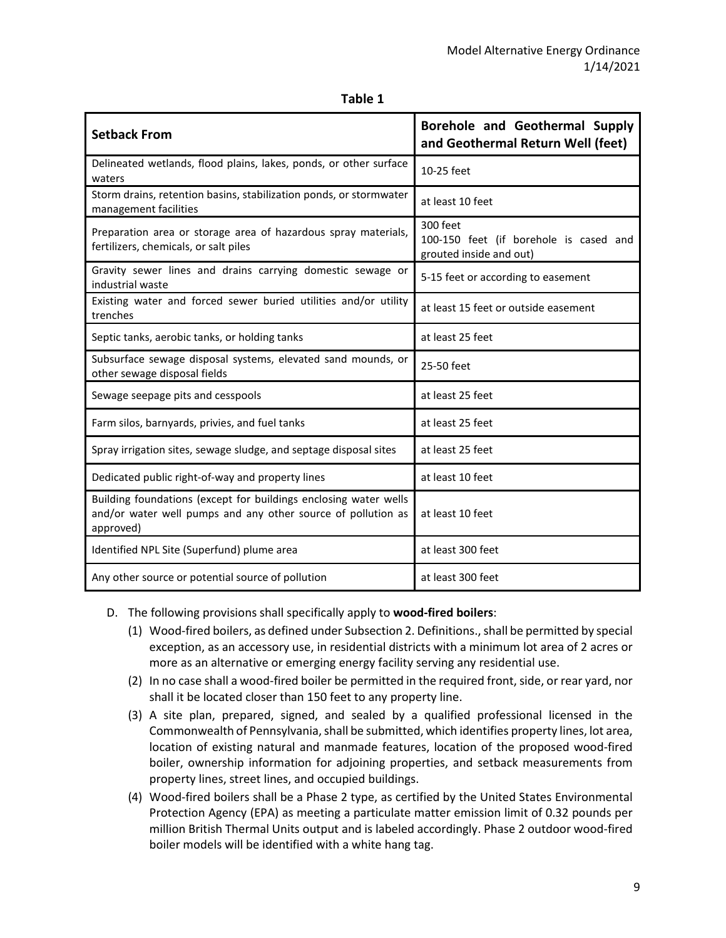| abı |  |
|-----|--|
|-----|--|

| <b>Setback From</b>                                                                                                                           | Borehole and Geothermal Supply<br>and Geothermal Return Well (feet)           |  |
|-----------------------------------------------------------------------------------------------------------------------------------------------|-------------------------------------------------------------------------------|--|
| Delineated wetlands, flood plains, lakes, ponds, or other surface<br>waters                                                                   | 10-25 feet                                                                    |  |
| Storm drains, retention basins, stabilization ponds, or stormwater<br>management facilities                                                   | at least 10 feet                                                              |  |
| Preparation area or storage area of hazardous spray materials,<br>fertilizers, chemicals, or salt piles                                       | 300 feet<br>100-150 feet (if borehole is cased and<br>grouted inside and out) |  |
| Gravity sewer lines and drains carrying domestic sewage or<br>industrial waste                                                                | 5-15 feet or according to easement                                            |  |
| Existing water and forced sewer buried utilities and/or utility<br>trenches                                                                   | at least 15 feet or outside easement                                          |  |
| Septic tanks, aerobic tanks, or holding tanks                                                                                                 | at least 25 feet                                                              |  |
| Subsurface sewage disposal systems, elevated sand mounds, or<br>other sewage disposal fields                                                  | 25-50 feet                                                                    |  |
| Sewage seepage pits and cesspools                                                                                                             | at least 25 feet                                                              |  |
| Farm silos, barnyards, privies, and fuel tanks                                                                                                | at least 25 feet                                                              |  |
| Spray irrigation sites, sewage sludge, and septage disposal sites                                                                             | at least 25 feet                                                              |  |
| Dedicated public right-of-way and property lines                                                                                              | at least 10 feet                                                              |  |
| Building foundations (except for buildings enclosing water wells<br>and/or water well pumps and any other source of pollution as<br>approved) | at least 10 feet                                                              |  |
| Identified NPL Site (Superfund) plume area                                                                                                    | at least 300 feet                                                             |  |
| Any other source or potential source of pollution                                                                                             | at least 300 feet                                                             |  |

### D. The following provisions shall specifically apply to **wood-fired boilers**:

- (1) Wood-fired boilers, as defined under Subsection 2. Definitions., shall be permitted by special exception, as an accessory use, in residential districts with a minimum lot area of 2 acres or more as an alternative or emerging energy facility serving any residential use.
- (2) In no case shall a wood-fired boiler be permitted in the required front, side, or rear yard, nor shall it be located closer than 150 feet to any property line.
- (3) A site plan, prepared, signed, and sealed by a qualified professional licensed in the Commonwealth of Pennsylvania, shall be submitted, which identifies property lines, lot area, location of existing natural and manmade features, location of the proposed wood-fired boiler, ownership information for adjoining properties, and setback measurements from property lines, street lines, and occupied buildings.
- (4) Wood-fired boilers shall be a Phase 2 type, as certified by the United States Environmental Protection Agency (EPA) as meeting a particulate matter emission limit of 0.32 pounds per million British Thermal Units output and is labeled accordingly. Phase 2 outdoor wood-fired boiler models will be identified with a white hang tag.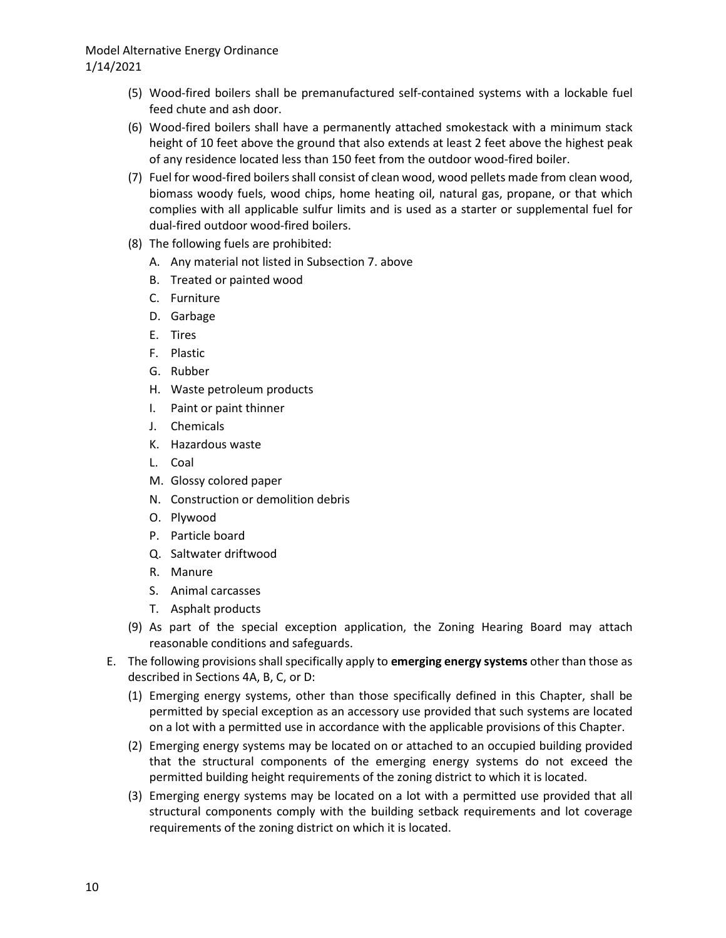## Model Alternative Energy Ordinance 1/14/2021

- (5) Wood-fired boilers shall be premanufactured self-contained systems with a lockable fuel feed chute and ash door.
- (6) Wood-fired boilers shall have a permanently attached smokestack with a minimum stack height of 10 feet above the ground that also extends at least 2 feet above the highest peak of any residence located less than 150 feet from the outdoor wood-fired boiler.
- (7) Fuel for wood-fired boilers shall consist of clean wood, wood pellets made from clean wood, biomass woody fuels, wood chips, home heating oil, natural gas, propane, or that which complies with all applicable sulfur limits and is used as a starter or supplemental fuel for dual-fired outdoor wood-fired boilers.
- (8) The following fuels are prohibited:
	- A. Any material not listed in Subsection 7. above
	- B. Treated or painted wood
	- C. Furniture
	- D. Garbage
	- E. Tires
	- F. Plastic
	- G. Rubber
	- H. Waste petroleum products
	- I. Paint or paint thinner
	- J. Chemicals
	- K. Hazardous waste
	- L. Coal
	- M. Glossy colored paper
	- N. Construction or demolition debris
	- O. Plywood
	- P. Particle board
	- Q. Saltwater driftwood
	- R. Manure
	- S. Animal carcasses
	- T. Asphalt products
- (9) As part of the special exception application, the Zoning Hearing Board may attach reasonable conditions and safeguards.
- E. The following provisions shall specifically apply to **emerging energy systems** other than those as described in Sections 4A, B, C, or D:
	- (1) Emerging energy systems, other than those specifically defined in this Chapter, shall be permitted by special exception as an accessory use provided that such systems are located on a lot with a permitted use in accordance with the applicable provisions of this Chapter.
	- (2) Emerging energy systems may be located on or attached to an occupied building provided that the structural components of the emerging energy systems do not exceed the permitted building height requirements of the zoning district to which it is located.
	- (3) Emerging energy systems may be located on a lot with a permitted use provided that all structural components comply with the building setback requirements and lot coverage requirements of the zoning district on which it is located.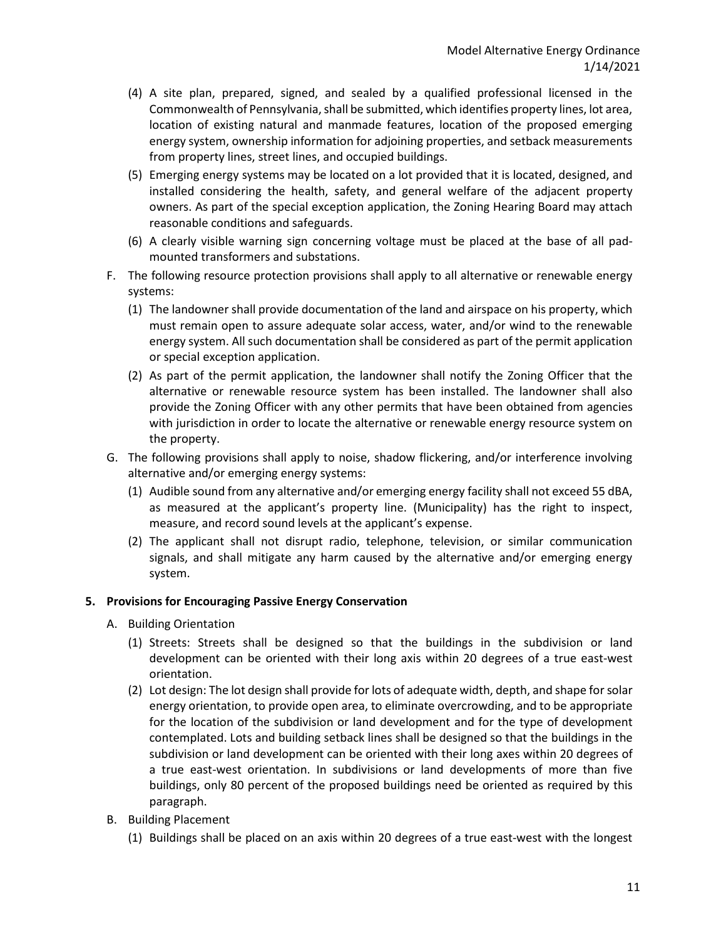- (4) A site plan, prepared, signed, and sealed by a qualified professional licensed in the Commonwealth of Pennsylvania, shall be submitted, which identifies property lines, lot area, location of existing natural and manmade features, location of the proposed emerging energy system, ownership information for adjoining properties, and setback measurements from property lines, street lines, and occupied buildings.
- (5) Emerging energy systems may be located on a lot provided that it is located, designed, and installed considering the health, safety, and general welfare of the adjacent property owners. As part of the special exception application, the Zoning Hearing Board may attach reasonable conditions and safeguards.
- (6) A clearly visible warning sign concerning voltage must be placed at the base of all padmounted transformers and substations.
- F. The following resource protection provisions shall apply to all alternative or renewable energy systems:
	- (1) The landowner shall provide documentation of the land and airspace on his property, which must remain open to assure adequate solar access, water, and/or wind to the renewable energy system. All such documentation shall be considered as part of the permit application or special exception application.
	- (2) As part of the permit application, the landowner shall notify the Zoning Officer that the alternative or renewable resource system has been installed. The landowner shall also provide the Zoning Officer with any other permits that have been obtained from agencies with jurisdiction in order to locate the alternative or renewable energy resource system on the property.
- G. The following provisions shall apply to noise, shadow flickering, and/or interference involving alternative and/or emerging energy systems:
	- (1) Audible sound from any alternative and/or emerging energy facility shall not exceed 55 dBA, as measured at the applicant's property line. (Municipality) has the right to inspect, measure, and record sound levels at the applicant's expense.
	- (2) The applicant shall not disrupt radio, telephone, television, or similar communication signals, and shall mitigate any harm caused by the alternative and/or emerging energy system.

### **5. Provisions for Encouraging Passive Energy Conservation**

- A. Building Orientation
	- (1) Streets: Streets shall be designed so that the buildings in the subdivision or land development can be oriented with their long axis within 20 degrees of a true east-west orientation.
	- (2) Lot design: The lot design shall provide for lots of adequate width, depth, and shape for solar energy orientation, to provide open area, to eliminate overcrowding, and to be appropriate for the location of the subdivision or land development and for the type of development contemplated. Lots and building setback lines shall be designed so that the buildings in the subdivision or land development can be oriented with their long axes within 20 degrees of a true east-west orientation. In subdivisions or land developments of more than five buildings, only 80 percent of the proposed buildings need be oriented as required by this paragraph.
- B. Building Placement
	- (1) Buildings shall be placed on an axis within 20 degrees of a true east-west with the longest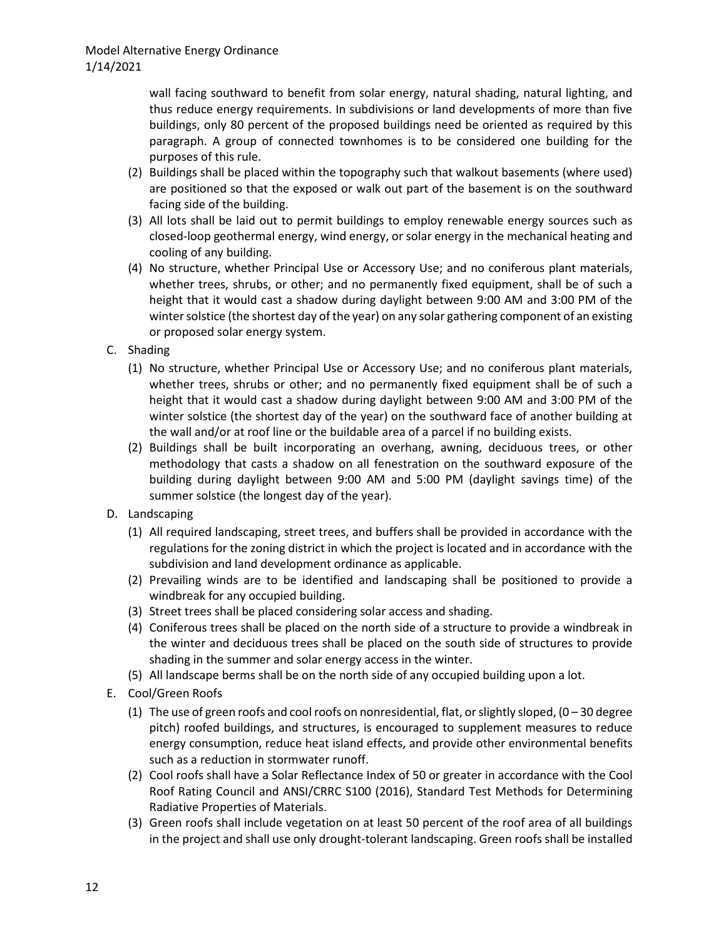wall facing southward to benefit from solar energy, natural shading, natural lighting, and thus reduce energy requirements. In subdivisions or land developments of more than five buildings, only 80 percent of the proposed buildings need be oriented as required by this paragraph. A group of connected townhomes is to be considered one building for the purposes of this rule.

- (2) Buildings shall be placed within the topography such that walkout basements (where used) are positioned so that the exposed or walk out part of the basement is on the southward facing side of the building.
- (3) All lots shall be laid out to permit buildings to employ renewable energy sources such as closed-loop geothermal energy, wind energy, or solar energy in the mechanical heating and cooling of any building.
- (4) No structure, whether Principal Use or Accessory Use; and no coniferous plant materials, whether trees, shrubs, or other; and no permanently fixed equipment, shall be of such a height that it would cast a shadow during daylight between 9:00 AM and 3:00 PM of the winter solstice (the shortest day of the year) on any solar gathering component of an existing or proposed solar energy system.
- C. Shading
	- (1) No structure, whether Principal Use or Accessory Use; and no coniferous plant materials, whether trees, shrubs or other; and no permanently fixed equipment shall be of such a height that it would cast a shadow during daylight between 9:00 AM and 3:00 PM of the winter solstice (the shortest day of the year) on the southward face of another building at the wall and/or at roof line or the buildable area of a parcel if no building exists.
	- (2) Buildings shall be built incorporating an overhang, awning, deciduous trees, or other methodology that casts a shadow on all fenestration on the southward exposure of the building during daylight between 9:00 AM and 5:00 PM (daylight savings time) of the summer solstice (the longest day of the year).
- D. Landscaping
	- (1) All required landscaping, street trees, and buffers shall be provided in accordance with the regulations for the zoning district in which the project is located and in accordance with the subdivision and land development ordinance as applicable.
	- (2) Prevailing winds are to be identified and landscaping shall be positioned to provide a windbreak for any occupied building.
	- (3) Street trees shall be placed considering solar access and shading.
	- (4) Coniferous trees shall be placed on the north side of a structure to provide a windbreak in the winter and deciduous trees shall be placed on the south side of structures to provide shading in the summer and solar energy access in the winter.
	- (5) All landscape berms shall be on the north side of any occupied building upon a lot.
- E. Cool/Green Roofs
	- (1) The use of green roofs and cool roofs on nonresidential, flat, or slightly sloped,  $(0 30$  degree pitch) roofed buildings, and structures, is encouraged to supplement measures to reduce energy consumption, reduce heat island effects, and provide other environmental benefits such as a reduction in stormwater runoff.
	- (2) Cool roofs shall have a Solar Reflectance Index of 50 or greater in accordance with the Cool Roof Rating Council and ANSI/CRRC S100 (2016), Standard Test Methods for Determining Radiative Properties of Materials.
	- (3) Green roofs shall include vegetation on at least 50 percent of the roof area of all buildings in the project and shall use only drought-tolerant landscaping. Green roofs shall be installed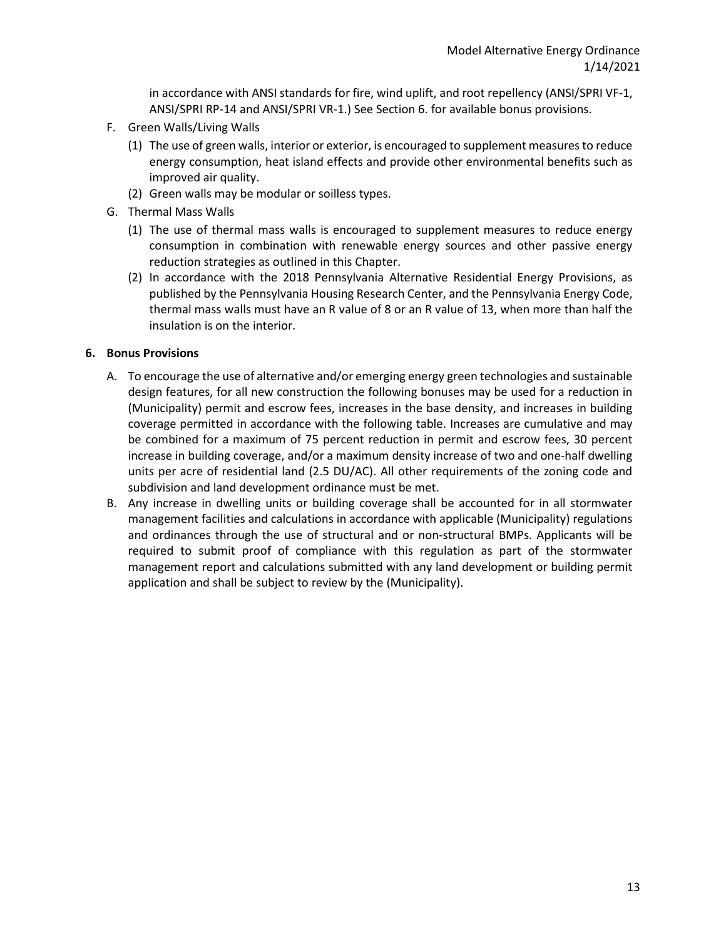in accordance with ANSI standards for fire, wind uplift, and root repellency (ANSI/SPRI VF-1, ANSI/SPRI RP-14 and ANSI/SPRI VR-1.) See Section 6. for available bonus provisions.

- F. Green Walls/Living Walls
	- (1) The use of green walls, interior or exterior, is encouraged to supplement measures to reduce energy consumption, heat island effects and provide other environmental benefits such as improved air quality.
	- (2) Green walls may be modular or soilless types.
- G. Thermal Mass Walls
	- (1) The use of thermal mass walls is encouraged to supplement measures to reduce energy consumption in combination with renewable energy sources and other passive energy reduction strategies as outlined in this Chapter.
	- (2) In accordance with the 2018 Pennsylvania Alternative Residential Energy Provisions, as published by the Pennsylvania Housing Research Center, and the Pennsylvania Energy Code, thermal mass walls must have an R value of 8 or an R value of 13, when more than half the insulation is on the interior.

### **6. Bonus Provisions**

- A. To encourage the use of alternative and/or emerging energy green technologies and sustainable design features, for all new construction the following bonuses may be used for a reduction in (Municipality) permit and escrow fees, increases in the base density, and increases in building coverage permitted in accordance with the following table. Increases are cumulative and may be combined for a maximum of 75 percent reduction in permit and escrow fees, 30 percent increase in building coverage, and/or a maximum density increase of two and one-half dwelling units per acre of residential land (2.5 DU/AC). All other requirements of the zoning code and subdivision and land development ordinance must be met.
- B. Any increase in dwelling units or building coverage shall be accounted for in all stormwater management facilities and calculations in accordance with applicable (Municipality) regulations and ordinances through the use of structural and or non-structural BMPs. Applicants will be required to submit proof of compliance with this regulation as part of the stormwater management report and calculations submitted with any land development or building permit application and shall be subject to review by the (Municipality).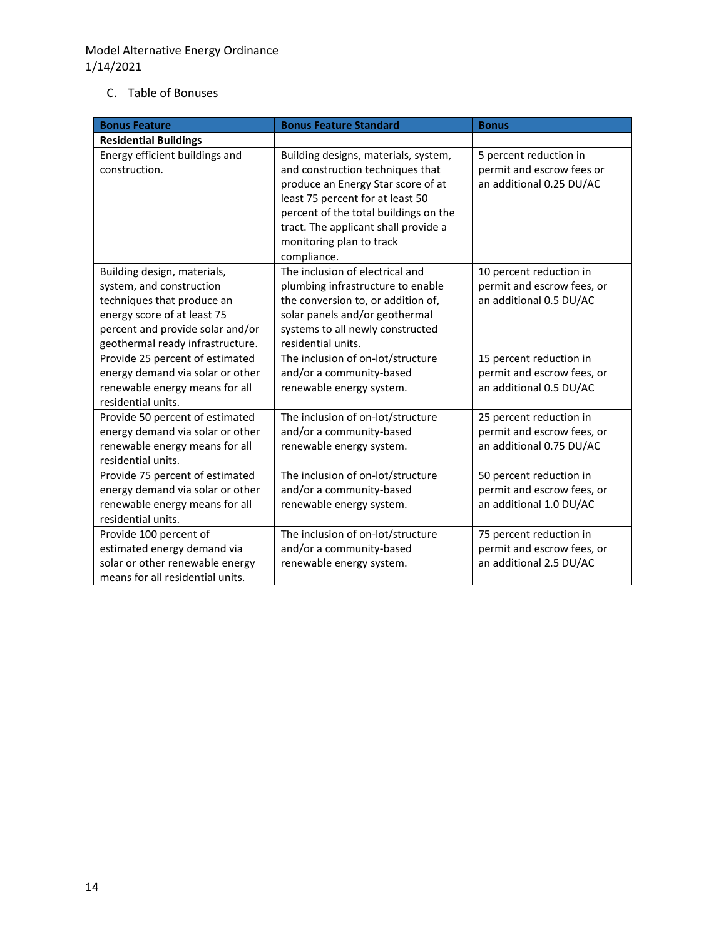## C. Table of Bonuses

| <b>Bonus Feature</b>                                                                                                                                                                         | <b>Bonus Feature Standard</b>                                                                                                                                                                                                                                                  | <b>Bonus</b>                                                                      |
|----------------------------------------------------------------------------------------------------------------------------------------------------------------------------------------------|--------------------------------------------------------------------------------------------------------------------------------------------------------------------------------------------------------------------------------------------------------------------------------|-----------------------------------------------------------------------------------|
| <b>Residential Buildings</b>                                                                                                                                                                 |                                                                                                                                                                                                                                                                                |                                                                                   |
| Energy efficient buildings and<br>construction.                                                                                                                                              | Building designs, materials, system,<br>and construction techniques that<br>produce an Energy Star score of at<br>least 75 percent for at least 50<br>percent of the total buildings on the<br>tract. The applicant shall provide a<br>monitoring plan to track<br>compliance. | 5 percent reduction in<br>permit and escrow fees or<br>an additional 0.25 DU/AC   |
| Building design, materials,<br>system, and construction<br>techniques that produce an<br>energy score of at least 75<br>percent and provide solar and/or<br>geothermal ready infrastructure. | The inclusion of electrical and<br>plumbing infrastructure to enable<br>the conversion to, or addition of,<br>solar panels and/or geothermal<br>systems to all newly constructed<br>residential units.                                                                         | 10 percent reduction in<br>permit and escrow fees, or<br>an additional 0.5 DU/AC  |
| Provide 25 percent of estimated<br>energy demand via solar or other<br>renewable energy means for all<br>residential units.                                                                  | The inclusion of on-lot/structure<br>and/or a community-based<br>renewable energy system.                                                                                                                                                                                      | 15 percent reduction in<br>permit and escrow fees, or<br>an additional 0.5 DU/AC  |
| Provide 50 percent of estimated<br>energy demand via solar or other<br>renewable energy means for all<br>residential units.                                                                  | The inclusion of on-lot/structure<br>and/or a community-based<br>renewable energy system.                                                                                                                                                                                      | 25 percent reduction in<br>permit and escrow fees, or<br>an additional 0.75 DU/AC |
| Provide 75 percent of estimated<br>energy demand via solar or other<br>renewable energy means for all<br>residential units.                                                                  | The inclusion of on-lot/structure<br>and/or a community-based<br>renewable energy system.                                                                                                                                                                                      | 50 percent reduction in<br>permit and escrow fees, or<br>an additional 1.0 DU/AC  |
| Provide 100 percent of<br>estimated energy demand via<br>solar or other renewable energy<br>means for all residential units.                                                                 | The inclusion of on-lot/structure<br>and/or a community-based<br>renewable energy system.                                                                                                                                                                                      | 75 percent reduction in<br>permit and escrow fees, or<br>an additional 2.5 DU/AC  |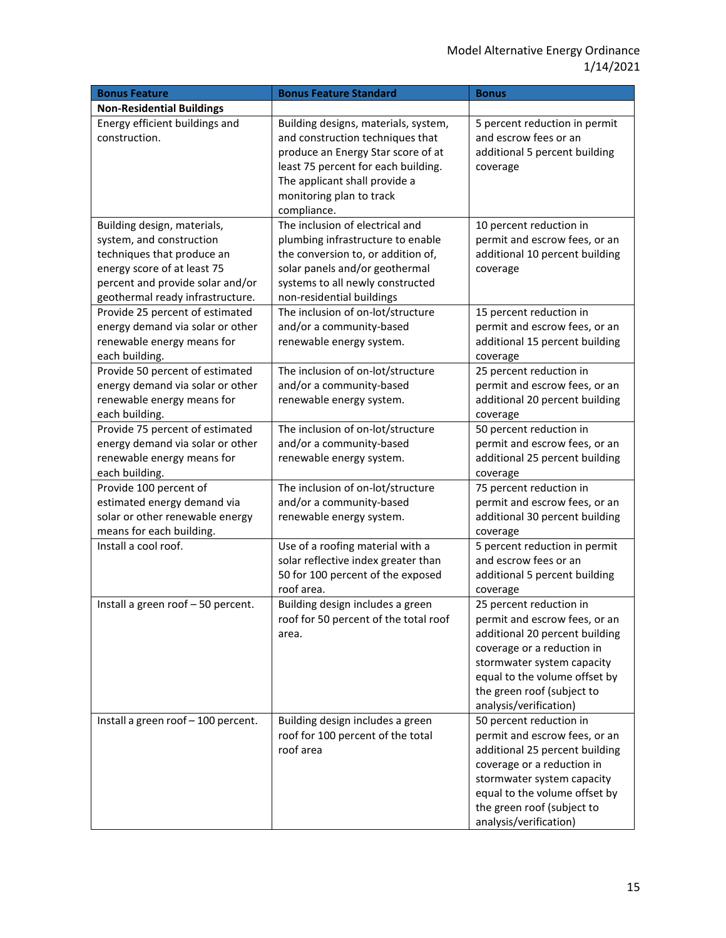| <b>Bonus Feature</b>                                                                                                                                                                         | <b>Bonus Feature Standard</b>                                                                                                                                                                                                     | <b>Bonus</b>                                                                                                                                                                                                                                    |
|----------------------------------------------------------------------------------------------------------------------------------------------------------------------------------------------|-----------------------------------------------------------------------------------------------------------------------------------------------------------------------------------------------------------------------------------|-------------------------------------------------------------------------------------------------------------------------------------------------------------------------------------------------------------------------------------------------|
| <b>Non-Residential Buildings</b>                                                                                                                                                             |                                                                                                                                                                                                                                   |                                                                                                                                                                                                                                                 |
| Energy efficient buildings and<br>construction.                                                                                                                                              | Building designs, materials, system,<br>and construction techniques that<br>produce an Energy Star score of at<br>least 75 percent for each building.<br>The applicant shall provide a<br>monitoring plan to track<br>compliance. | 5 percent reduction in permit<br>and escrow fees or an<br>additional 5 percent building<br>coverage                                                                                                                                             |
| Building design, materials,<br>system, and construction<br>techniques that produce an<br>energy score of at least 75<br>percent and provide solar and/or<br>geothermal ready infrastructure. | The inclusion of electrical and<br>plumbing infrastructure to enable<br>the conversion to, or addition of,<br>solar panels and/or geothermal<br>systems to all newly constructed<br>non-residential buildings                     | 10 percent reduction in<br>permit and escrow fees, or an<br>additional 10 percent building<br>coverage                                                                                                                                          |
| Provide 25 percent of estimated<br>energy demand via solar or other<br>renewable energy means for<br>each building.                                                                          | The inclusion of on-lot/structure<br>and/or a community-based<br>renewable energy system.                                                                                                                                         | 15 percent reduction in<br>permit and escrow fees, or an<br>additional 15 percent building<br>coverage                                                                                                                                          |
| Provide 50 percent of estimated<br>energy demand via solar or other<br>renewable energy means for<br>each building.                                                                          | The inclusion of on-lot/structure<br>and/or a community-based<br>renewable energy system.                                                                                                                                         | 25 percent reduction in<br>permit and escrow fees, or an<br>additional 20 percent building<br>coverage                                                                                                                                          |
| Provide 75 percent of estimated<br>energy demand via solar or other<br>renewable energy means for<br>each building.                                                                          | The inclusion of on-lot/structure<br>and/or a community-based<br>renewable energy system.                                                                                                                                         | 50 percent reduction in<br>permit and escrow fees, or an<br>additional 25 percent building<br>coverage                                                                                                                                          |
| Provide 100 percent of<br>estimated energy demand via<br>solar or other renewable energy<br>means for each building.                                                                         | The inclusion of on-lot/structure<br>and/or a community-based<br>renewable energy system.                                                                                                                                         | 75 percent reduction in<br>permit and escrow fees, or an<br>additional 30 percent building<br>coverage                                                                                                                                          |
| Install a cool roof.                                                                                                                                                                         | Use of a roofing material with a<br>solar reflective index greater than<br>50 for 100 percent of the exposed<br>roof area.                                                                                                        | 5 percent reduction in permit<br>and escrow fees or an<br>additional 5 percent building<br>coverage                                                                                                                                             |
| Install a green roof - 50 percent.                                                                                                                                                           | Building design includes a green<br>roof for 50 percent of the total roof<br>area.                                                                                                                                                | 25 percent reduction in<br>permit and escrow fees, or an<br>additional 20 percent building<br>coverage or a reduction in<br>stormwater system capacity<br>equal to the volume offset by<br>the green roof (subject to<br>analysis/verification) |
| Install a green roof - 100 percent.                                                                                                                                                          | Building design includes a green<br>roof for 100 percent of the total<br>roof area                                                                                                                                                | 50 percent reduction in<br>permit and escrow fees, or an<br>additional 25 percent building<br>coverage or a reduction in<br>stormwater system capacity<br>equal to the volume offset by<br>the green roof (subject to<br>analysis/verification) |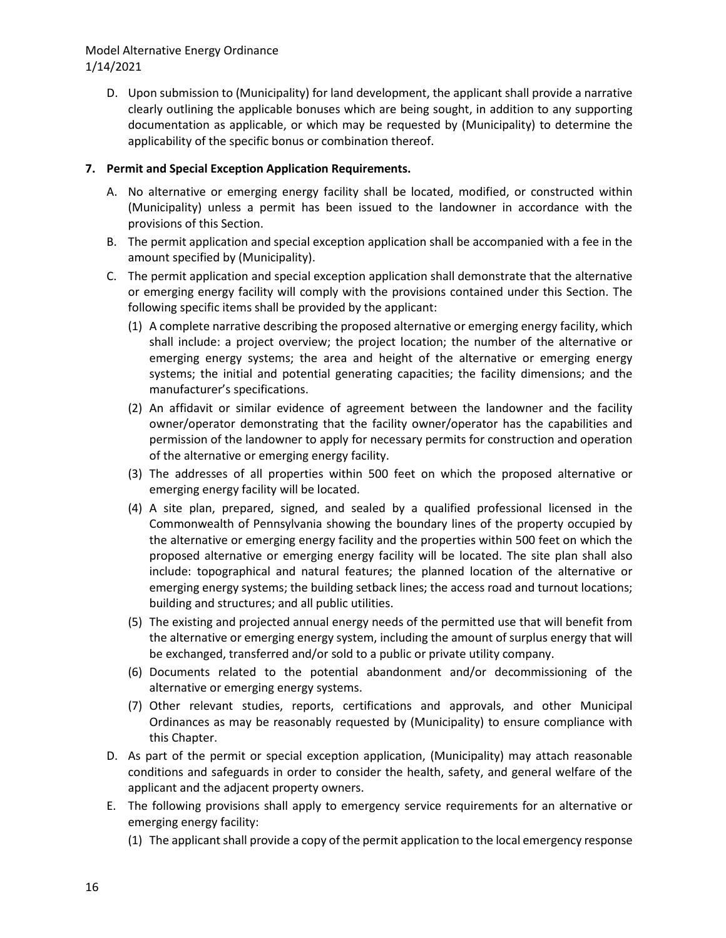## Model Alternative Energy Ordinance 1/14/2021

D. Upon submission to (Municipality) for land development, the applicant shall provide a narrative clearly outlining the applicable bonuses which are being sought, in addition to any supporting documentation as applicable, or which may be requested by (Municipality) to determine the applicability of the specific bonus or combination thereof.

### **7. Permit and Special Exception Application Requirements.**

- A. No alternative or emerging energy facility shall be located, modified, or constructed within (Municipality) unless a permit has been issued to the landowner in accordance with the provisions of this Section.
- B. The permit application and special exception application shall be accompanied with a fee in the amount specified by (Municipality).
- C. The permit application and special exception application shall demonstrate that the alternative or emerging energy facility will comply with the provisions contained under this Section. The following specific items shall be provided by the applicant:
	- (1) A complete narrative describing the proposed alternative or emerging energy facility, which shall include: a project overview; the project location; the number of the alternative or emerging energy systems; the area and height of the alternative or emerging energy systems; the initial and potential generating capacities; the facility dimensions; and the manufacturer's specifications.
	- (2) An affidavit or similar evidence of agreement between the landowner and the facility owner/operator demonstrating that the facility owner/operator has the capabilities and permission of the landowner to apply for necessary permits for construction and operation of the alternative or emerging energy facility.
	- (3) The addresses of all properties within 500 feet on which the proposed alternative or emerging energy facility will be located.
	- (4) A site plan, prepared, signed, and sealed by a qualified professional licensed in the Commonwealth of Pennsylvania showing the boundary lines of the property occupied by the alternative or emerging energy facility and the properties within 500 feet on which the proposed alternative or emerging energy facility will be located. The site plan shall also include: topographical and natural features; the planned location of the alternative or emerging energy systems; the building setback lines; the access road and turnout locations; building and structures; and all public utilities.
	- (5) The existing and projected annual energy needs of the permitted use that will benefit from the alternative or emerging energy system, including the amount of surplus energy that will be exchanged, transferred and/or sold to a public or private utility company.
	- (6) Documents related to the potential abandonment and/or decommissioning of the alternative or emerging energy systems.
	- (7) Other relevant studies, reports, certifications and approvals, and other Municipal Ordinances as may be reasonably requested by (Municipality) to ensure compliance with this Chapter.
- D. As part of the permit or special exception application, (Municipality) may attach reasonable conditions and safeguards in order to consider the health, safety, and general welfare of the applicant and the adjacent property owners.
- E. The following provisions shall apply to emergency service requirements for an alternative or emerging energy facility:
	- (1) The applicant shall provide a copy of the permit application to the local emergency response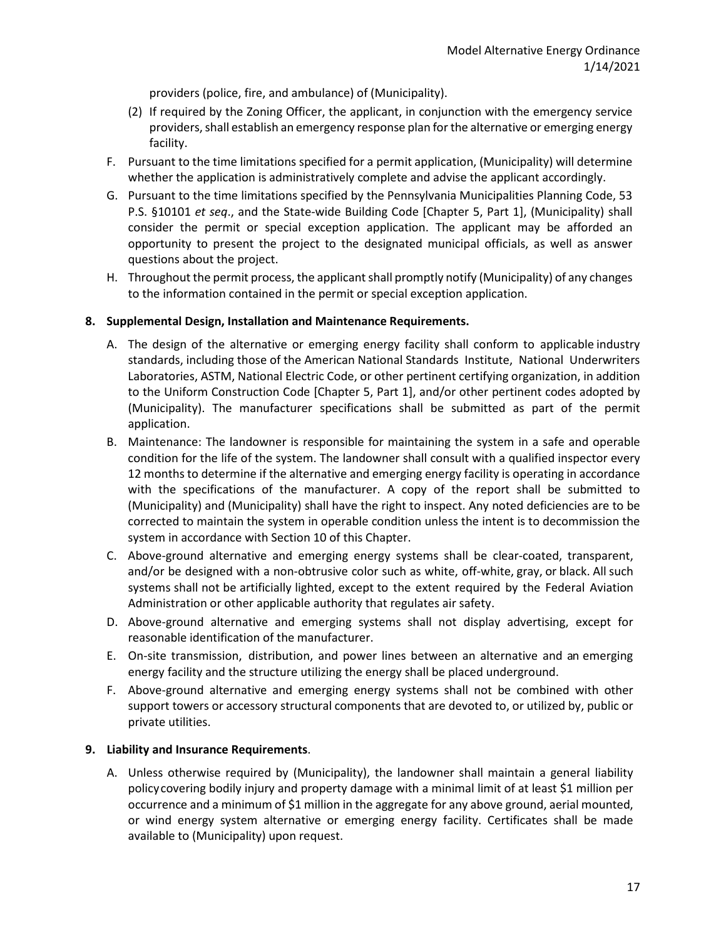providers (police, fire, and ambulance) of (Municipality).

- (2) If required by the Zoning Officer, the applicant, in conjunction with the emergency service providers, shall establish an emergency response plan for the alternative or emerging energy facility.
- F. Pursuant to the time limitations specified for a permit application, (Municipality) will determine whether the application is administratively complete and advise the applicant accordingly.
- G. Pursuant to the time limitations specified by the Pennsylvania Municipalities Planning Code, 53 P.S. §10101 *et seq*., and the State-wide Building Code [Chapter 5, Part 1], (Municipality) shall consider the permit or special exception application. The applicant may be afforded an opportunity to present the project to the designated municipal officials, as well as answer questions about the project.
- H. Throughout the permit process, the applicant shall promptly notify (Municipality) of any changes to the information contained in the permit or special exception application.

### **8. Supplemental Design, Installation and Maintenance Requirements.**

- A. The design of the alternative or emerging energy facility shall conform to applicable industry standards, including those of the American National Standards Institute, National Underwriters Laboratories, ASTM, National Electric Code, or other pertinent certifying organization, in addition to the Uniform Construction Code [Chapter 5, Part 1], and/or other pertinent codes adopted by (Municipality). The manufacturer specifications shall be submitted as part of the permit application.
- B. Maintenance: The landowner is responsible for maintaining the system in a safe and operable condition for the life of the system. The landowner shall consult with a qualified inspector every 12 months to determine if the alternative and emerging energy facility is operating in accordance with the specifications of the manufacturer. A copy of the report shall be submitted to (Municipality) and (Municipality) shall have the right to inspect. Any noted deficiencies are to be corrected to maintain the system in operable condition unless the intent is to decommission the system in accordance with Section 10 of this Chapter.
- C. Above-ground alternative and emerging energy systems shall be clear-coated, transparent, and/or be designed with a non-obtrusive color such as white, off-white, gray, or black. All such systems shall not be artificially lighted, except to the extent required by the Federal Aviation Administration or other applicable authority that regulates air safety.
- D. Above-ground alternative and emerging systems shall not display advertising, except for reasonable identification of the manufacturer.
- E. On-site transmission, distribution, and power lines between an alternative and an emerging energy facility and the structure utilizing the energy shall be placed underground.
- F. Above-ground alternative and emerging energy systems shall not be combined with other support towers or accessory structural components that are devoted to, or utilized by, public or private utilities.

### **9. Liability and Insurance Requirements**.

A. Unless otherwise required by (Municipality), the landowner shall maintain a general liability policycovering bodily injury and property damage with a minimal limit of at least \$1 million per occurrence and a minimum of \$1 million in the aggregate for any above ground, aerial mounted, or wind energy system alternative or emerging energy facility. Certificates shall be made available to (Municipality) upon request.